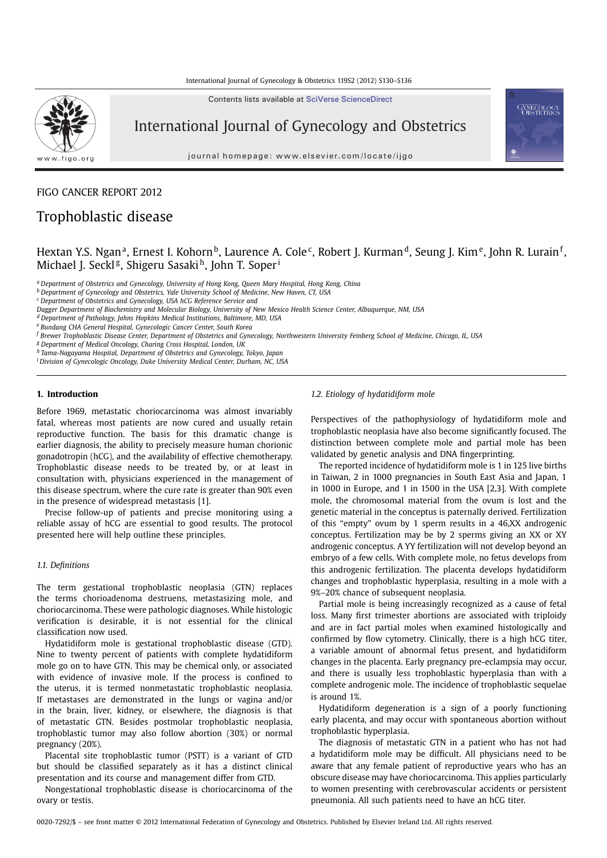

International Journal of Gynecology and Obstetrics

journal homepage: www.elsevier.com/locate/ijgo



# FIGO CANCER REPORT 2012

# Trophoblastic disease

# Hextan Y.S. Nganª, Ernest I. Kohornʰ, Laurence A. Cole¢, Robert J. Kurmanª, Seung J. Kimº, John R. Lurain<sup>f</sup>, Michael J. Seckl<sup>g</sup>, Shigeru Sasaki<sup>h</sup>, John T. Soper<sup>i</sup>

*<sup>a</sup> Department of Obstetrics and Gynecology, University of Hong Kong, Queen Mary Hospital, Hong Kong, China*

*<sup>b</sup> Department of Gynecology and Obstetrics, Yale University School of Medicine, New Haven, CT, USA*

*<sup>c</sup> Department of Obstetrics and Gynecology, USA hCG Reference Service and*

*Dagger Department of Biochemistry and Molecular Biology, University of New Mexico Health Science Center, Albuquerque, NM, USA*

*<sup>d</sup> Department of Pathology, Johns Hopkins Medical Institutions, Baltimore, MD, USA*

*<sup>e</sup> Bundang CHA General Hospital, Gynecologic Cancer Center, South Korea*

*<sup>f</sup> Brewer Trophoblastic Disease Center, Department of Obstetrics and Gynecology, Northwestern University Feinberg School of Medicine, Chicago, IL, USA*

*<sup>g</sup> Department of Medical Oncology, Charing Cross Hospital, London, UK*

*<sup>h</sup> Tama-Nagayama Hospital, Department of Obstetrics and Gynecology, Tokyo, Japan*

*<sup>i</sup> Division of Gynecologic Oncology, Duke University Medical Center, Durham, NC, USA*

### **1. Introduction**

Before 1969, metastatic choriocarcinoma was almost invariably fatal, whereas most patients are now cured and usually retain reproductive function. The basis for this dramatic change is earlier diagnosis, the ability to precisely measure human chorionic gonadotropin (hCG), and the availability of effective chemotherapy. Trophoblastic disease needs to be treated by, or at least in consultation with, physicians experienced in the management of this disease spectrum, where the cure rate is greater than 90% even in the presence of widespread metastasis [1].

Precise follow-up of patients and precise monitoring using a reliable assay of hCG are essential to good results. The protocol presented here will help outline these principles.

# *1.1. Definitions*

The term gestational trophoblastic neoplasia (GTN) replaces the terms chorioadenoma destruens, metastasizing mole, and choriocarcinoma. These were pathologic diagnoses. While histologic verification is desirable, it is not essential for the clinical classification now used.

Hydatidiform mole is gestational trophoblastic disease (GTD). Nine to twenty percent of patients with complete hydatidiform mole go on to have GTN. This may be chemical only, or associated with evidence of invasive mole. If the process is confined to the uterus, it is termed nonmetastatic trophoblastic neoplasia. If metastases are demonstrated in the lungs or vagina and/or in the brain, liver, kidney, or elsewhere, the diagnosis is that of metastatic GTN. Besides postmolar trophoblastic neoplasia, trophoblastic tumor may also follow abortion (30%) or normal pregnancy (20%).

Placental site trophoblastic tumor (PSTT) is a variant of GTD but should be classified separately as it has a distinct clinical presentation and its course and management differ from GTD.

Nongestational trophoblastic disease is choriocarcinoma of the ovary or testis.

#### *1.2. Etiology of hydatidiform mole*

Perspectives of the pathophysiology of hydatidiform mole and trophoblastic neoplasia have also become significantly focused. The distinction between complete mole and partial mole has been validated by genetic analysis and DNA fingerprinting.

The reported incidence of hydatidiform mole is 1 in 125 live births in Taiwan, 2 in 1000 pregnancies in South East Asia and Japan, 1 in 1000 in Europe, and 1 in 1500 in the USA [2,3]. With complete mole, the chromosomal material from the ovum is lost and the genetic material in the conceptus is paternally derived. Fertilization of this "empty" ovum by 1 sperm results in a 46,XX androgenic conceptus. Fertilization may be by 2 sperms giving an XX or XY androgenic conceptus. A YY fertilization will not develop beyond an embryo of a few cells. With complete mole, no fetus develops from this androgenic fertilization. The placenta develops hydatidiform changes and trophoblastic hyperplasia, resulting in a mole with a 9%–20% chance of subsequent neoplasia.

Partial mole is being increasingly recognized as a cause of fetal loss. Many first trimester abortions are associated with triploidy and are in fact partial moles when examined histologically and confirmed by flow cytometry. Clinically, there is a high hCG titer, a variable amount of abnormal fetus present, and hydatidiform changes in the placenta. Early pregnancy pre-eclampsia may occur, and there is usually less trophoblastic hyperplasia than with a complete androgenic mole. The incidence of trophoblastic sequelae is around 1%.

Hydatidiform degeneration is a sign of a poorly functioning early placenta, and may occur with spontaneous abortion without trophoblastic hyperplasia.

The diagnosis of metastatic GTN in a patient who has not had a hydatidiform mole may be difficult. All physicians need to be aware that any female patient of reproductive years who has an obscure disease may have choriocarcinoma. This applies particularly to women presenting with cerebrovascular accidents or persistent pneumonia. All such patients need to have an hCG titer.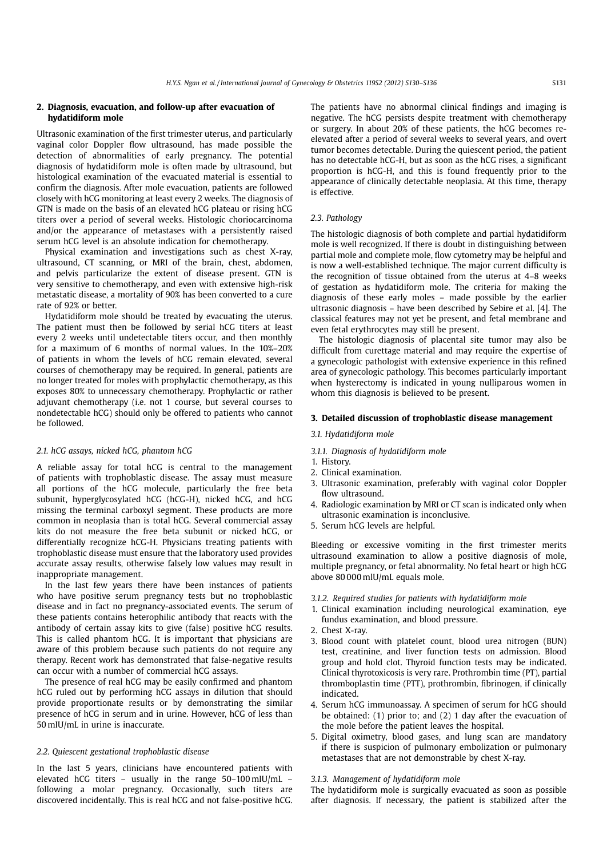# **2. Diagnosis, evacuation, and follow-up after evacuation of hydatidiform mole**

Ultrasonic examination of the first trimester uterus, and particularly vaginal color Doppler flow ultrasound, has made possible the detection of abnormalities of early pregnancy. The potential diagnosis of hydatidiform mole is often made by ultrasound, but histological examination of the evacuated material is essential to confirm the diagnosis. After mole evacuation, patients are followed closely with hCG monitoring at least every 2 weeks. The diagnosis of GTN is made on the basis of an elevated hCG plateau or rising hCG titers over a period of several weeks. Histologic choriocarcinoma and/or the appearance of metastases with a persistently raised serum hCG level is an absolute indication for chemotherapy.

Physical examination and investigations such as chest X-ray, ultrasound, CT scanning, or MRI of the brain, chest, abdomen, and pelvis particularize the extent of disease present. GTN is very sensitive to chemotherapy, and even with extensive high-risk metastatic disease, a mortality of 90% has been converted to a cure rate of 92% or better.

Hydatidiform mole should be treated by evacuating the uterus. The patient must then be followed by serial hCG titers at least every 2 weeks until undetectable titers occur, and then monthly for a maximum of 6 months of normal values. In the 10%–20% of patients in whom the levels of hCG remain elevated, several courses of chemotherapy may be required. In general, patients are no longer treated for moles with prophylactic chemotherapy, as this exposes 80% to unnecessary chemotherapy. Prophylactic or rather adjuvant chemotherapy (i.e. not 1 course, but several courses to nondetectable hCG) should only be offered to patients who cannot be followed.

#### *2.1. hCG assays, nicked hCG, phantom hCG*

A reliable assay for total hCG is central to the management of patients with trophoblastic disease. The assay must measure all portions of the hCG molecule, particularly the free beta subunit, hyperglycosylated hCG (hCG-H), nicked hCG, and hCG missing the terminal carboxyl segment. These products are more common in neoplasia than is total hCG. Several commercial assay kits do not measure the free beta subunit or nicked hCG, or differentially recognize hCG-H. Physicians treating patients with trophoblastic disease must ensure that the laboratory used provides accurate assay results, otherwise falsely low values may result in inappropriate management.

In the last few years there have been instances of patients who have positive serum pregnancy tests but no trophoblastic disease and in fact no pregnancy-associated events. The serum of these patients contains heterophilic antibody that reacts with the antibody of certain assay kits to give (false) positive hCG results. This is called phantom hCG. It is important that physicians are aware of this problem because such patients do not require any therapy. Recent work has demonstrated that false-negative results can occur with a number of commercial hCG assays.

The presence of real hCG may be easily confirmed and phantom hCG ruled out by performing hCG assays in dilution that should provide proportionate results or by demonstrating the similar presence of hCG in serum and in urine. However, hCG of less than 50 mIU/mL in urine is inaccurate.

#### *2.2. Quiescent gestational trophoblastic disease*

In the last 5 years, clinicians have encountered patients with elevated hCG titers – usually in the range 50–100 mIU/mL – following a molar pregnancy. Occasionally, such titers are discovered incidentally. This is real hCG and not false-positive hCG.

The patients have no abnormal clinical findings and imaging is negative. The hCG persists despite treatment with chemotherapy or surgery. In about 20% of these patients, the hCG becomes reelevated after a period of several weeks to several years, and overt tumor becomes detectable. During the quiescent period, the patient has no detectable hCG-H, but as soon as the hCG rises, a significant proportion is hCG-H, and this is found frequently prior to the appearance of clinically detectable neoplasia. At this time, therapy is effective.

# *2.3. Pathology*

The histologic diagnosis of both complete and partial hydatidiform mole is well recognized. If there is doubt in distinguishing between partial mole and complete mole, flow cytometry may be helpful and is now a well-established technique. The major current difficulty is the recognition of tissue obtained from the uterus at 4–8 weeks of gestation as hydatidiform mole. The criteria for making the diagnosis of these early moles – made possible by the earlier ultrasonic diagnosis – have been described by Sebire et al. [4]. The classical features may not yet be present, and fetal membrane and even fetal erythrocytes may still be present.

The histologic diagnosis of placental site tumor may also be difficult from curettage material and may require the expertise of a gynecologic pathologist with extensive experience in this refined area of gynecologic pathology. This becomes particularly important when hysterectomy is indicated in young nulliparous women in whom this diagnosis is believed to be present.

#### **3. Detailed discussion of trophoblastic disease management**

*3.1. Hydatidiform mole*

- *3.1.1. Diagnosis of hydatidiform mole*
- 1. History.
- 2. Clinical examination.
- 3. Ultrasonic examination, preferably with vaginal color Doppler flow ultrasound.
- 4. Radiologic examination by MRI or CT scan is indicated only when ultrasonic examination is inconclusive.
- 5. Serum hCG levels are helpful.

Bleeding or excessive vomiting in the first trimester merits ultrasound examination to allow a positive diagnosis of mole, multiple pregnancy, or fetal abnormality. No fetal heart or high hCG above 80 000 mlU/mL equals mole.

*3.1.2. Required studies for patients with hydatidiform mole*

- 1. Clinical examination including neurological examination, eye fundus examination, and blood pressure.
- 2. Chest X-ray.
- 3. Blood count with platelet count, blood urea nitrogen (BUN) test, creatinine, and liver function tests on admission. Blood group and hold clot. Thyroid function tests may be indicated. Clinical thyrotoxicosis is very rare. Prothrombin time (PT), partial thromboplastin time (PTT), prothrombin, fibrinogen, if clinically indicated.
- 4. Serum hCG immunoassay. A specimen of serum for hCG should be obtained: (1) prior to; and (2) 1 day after the evacuation of the mole before the patient leaves the hospital.
- 5. Digital oximetry, blood gases, and lung scan are mandatory if there is suspicion of pulmonary embolization or pulmonary metastases that are not demonstrable by chest X-ray.

#### *3.1.3. Management of hydatidiform mole*

The hydatidiform mole is surgically evacuated as soon as possible after diagnosis. If necessary, the patient is stabilized after the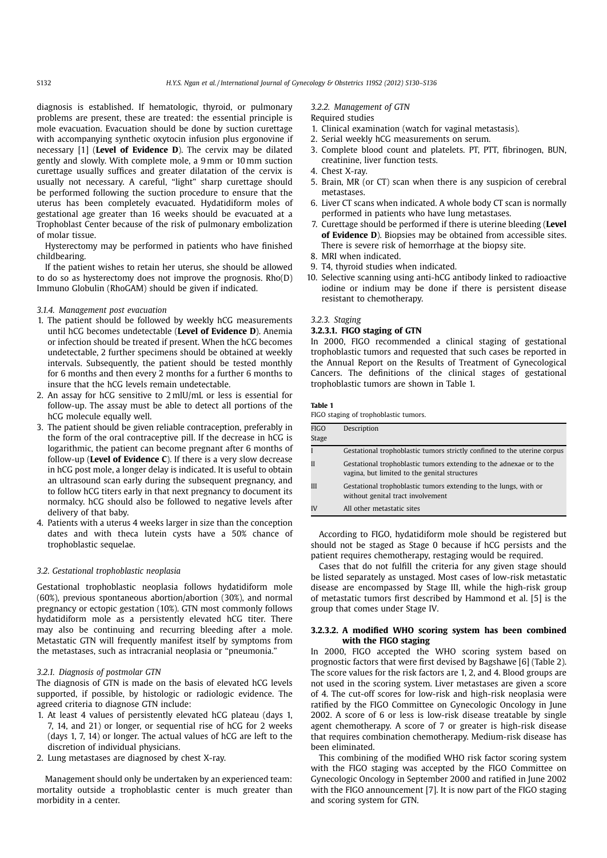diagnosis is established. If hematologic, thyroid, or pulmonary problems are present, these are treated: the essential principle is mole evacuation. Evacuation should be done by suction curettage with accompanying synthetic oxytocin infusion plus ergonovine if necessary [1] (**Level of Evidence D**). The cervix may be dilated gently and slowly. With complete mole, a 9 mm or 10 mm suction curettage usually suffices and greater dilatation of the cervix is usually not necessary. A careful, "light" sharp curettage should be performed following the suction procedure to ensure that the uterus has been completely evacuated. Hydatidiform moles of gestational age greater than 16 weeks should be evacuated at a Trophoblast Center because of the risk of pulmonary embolization of molar tissue.

Hysterectomy may be performed in patients who have finished childbearing.

If the patient wishes to retain her uterus, she should be allowed to do so as hysterectomy does not improve the prognosis. Rho(D) Immuno Globulin (RhoGAM) should be given if indicated.

#### *3.1.4. Management post evacuation*

- 1. The patient should be followed by weekly hCG measurements until hCG becomes undetectable (**Level of Evidence D**). Anemia or infection should be treated if present. When the hCG becomes undetectable, 2 further specimens should be obtained at weekly intervals. Subsequently, the patient should be tested monthly for 6 months and then every 2 months for a further 6 months to insure that the hCG levels remain undetectable.
- 2. An assay for hCG sensitive to 2 mlU/mL or less is essential for follow-up. The assay must be able to detect all portions of the hCG molecule equally well.
- 3. The patient should be given reliable contraception, preferably in the form of the oral contraceptive pill. If the decrease in hCG is logarithmic, the patient can become pregnant after 6 months of follow-up (**Level of Evidence C**). If there is a very slow decrease in hCG post mole, a longer delay is indicated. It is useful to obtain an ultrasound scan early during the subsequent pregnancy, and to follow hCG titers early in that next pregnancy to document its normalcy. hCG should also be followed to negative levels after delivery of that baby.
- 4. Patients with a uterus 4 weeks larger in size than the conception dates and with theca lutein cysts have a 50% chance of trophoblastic sequelae.

#### *3.2. Gestational trophoblastic neoplasia*

Gestational trophoblastic neoplasia follows hydatidiform mole (60%), previous spontaneous abortion/abortion (30%), and normal pregnancy or ectopic gestation (10%). GTN most commonly follows hydatidiform mole as a persistently elevated hCG titer. There may also be continuing and recurring bleeding after a mole. Metastatic GTN will frequently manifest itself by symptoms from the metastases, such as intracranial neoplasia or "pneumonia."

#### *3.2.1. Diagnosis of postmolar GTN*

The diagnosis of GTN is made on the basis of elevated hCG levels supported, if possible, by histologic or radiologic evidence. The agreed criteria to diagnose GTN include:

- 1. At least 4 values of persistently elevated hCG plateau (days 1, 7, 14, and 21) or longer, or sequential rise of hCG for 2 weeks (days 1, 7, 14) or longer. The actual values of hCG are left to the discretion of individual physicians.
- 2. Lung metastases are diagnosed by chest X-ray.

Management should only be undertaken by an experienced team: mortality outside a trophoblastic center is much greater than morbidity in a center.

# *3.2.2. Management of GTN*

Required studies

- 1. Clinical examination (watch for vaginal metastasis).
- 2. Serial weekly hCG measurements on serum.
- 3. Complete blood count and platelets. PT, PTT, fibrinogen, BUN, creatinine, liver function tests.
- 4. Chest X-ray.
- 5. Brain, MR (or CT) scan when there is any suspicion of cerebral metastases.
- 6. Liver CT scans when indicated. A whole body CT scan is normally performed in patients who have lung metastases.
- 7. Curettage should be performed if there is uterine bleeding (**Level of Evidence D**). Biopsies may be obtained from accessible sites. There is severe risk of hemorrhage at the biopsy site.
- 8. MRI when indicated.
- 9. T4, thyroid studies when indicated.
- 10. Selective scanning using anti-hCG antibody linked to radioactive iodine or indium may be done if there is persistent disease resistant to chemotherapy.
- *3.2.3. Staging*

# **3.2.3.1. FIGO staging of GTN**

In 2000, FIGO recommended a clinical staging of gestational trophoblastic tumors and requested that such cases be reported in the Annual Report on the Results of Treatment of Gynecological Cancers. The definitions of the clinical stages of gestational trophoblastic tumors are shown in Table 1.

#### **Table 1**

FIGO staging of trophoblastic tumors.

| <b>FIGO</b><br>Stage | Description                                                                                                          |
|----------------------|----------------------------------------------------------------------------------------------------------------------|
|                      | Gestational trophoblastic tumors strictly confined to the uterine corpus                                             |
| $\mathbf{I}$         | Gestational trophoblastic tumors extending to the adnexae or to the<br>vagina, but limited to the genital structures |
| Ш                    | Gestational trophoblastic tumors extending to the lungs, with or<br>without genital tract involvement                |
| IV                   | All other metastatic sites                                                                                           |

According to FIGO, hydatidiform mole should be registered but should not be staged as Stage 0 because if hCG persists and the patient requires chemotherapy, restaging would be required.

Cases that do not fulfill the criteria for any given stage should be listed separately as unstaged. Most cases of low-risk metastatic disease are encompassed by Stage III, while the high-risk group of metastatic tumors first described by Hammond et al. [5] is the group that comes under Stage IV.

#### **3.2.3.2. A modified WHO scoring system has been combined with the FIGO staging**

In 2000, FIGO accepted the WHO scoring system based on prognostic factors that were first devised by Bagshawe [6] (Table 2). The score values for the risk factors are 1, 2, and 4. Blood groups are not used in the scoring system. Liver metastases are given a score of 4. The cut-off scores for low-risk and high-risk neoplasia were ratified by the FIGO Committee on Gynecologic Oncology in June 2002. A score of 6 or less is low-risk disease treatable by single agent chemotherapy. A score of 7 or greater is high-risk disease that requires combination chemotherapy. Medium-risk disease has been eliminated.

This combining of the modified WHO risk factor scoring system with the FIGO staging was accepted by the FIGO Committee on Gynecologic Oncology in September 2000 and ratified in June 2002 with the FIGO announcement [7]. It is now part of the FIGO staging and scoring system for GTN.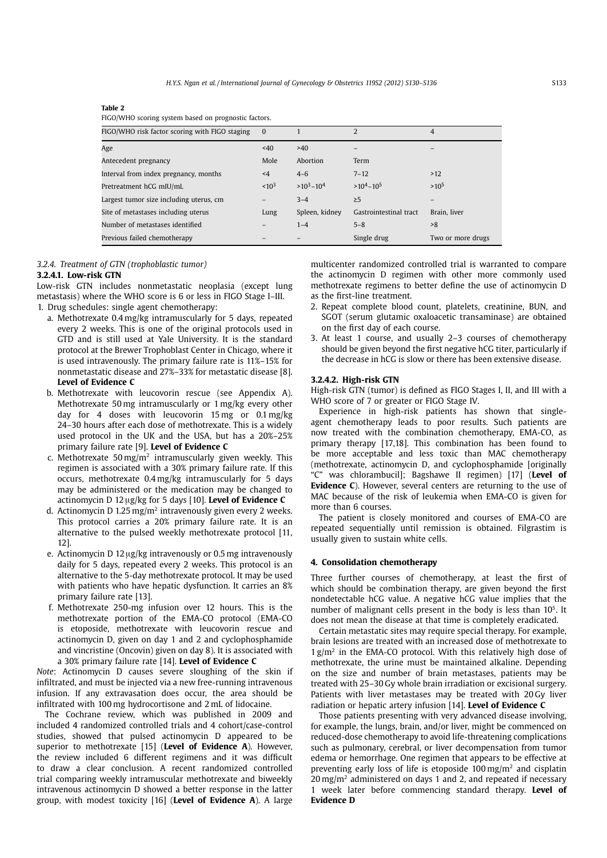**Table 2**

FIGO/WHO scoring system based on prognostic factors.

| FIGO/WHO risk factor scoring with FIGO staging | $\Omega$          |                | $\overline{2}$         | $\overline{4}$    |
|------------------------------------------------|-------------------|----------------|------------------------|-------------------|
| Age                                            | <40               | >40            |                        |                   |
| Antecedent pregnancy                           | Mole              | Abortion       | Term                   |                   |
| Interval from index pregnancy, months          | $\leq 4$          | $4 - 6$        | $7 - 12$               | >12               |
| Pretreatment hCG mIU/mL                        | < 10 <sup>3</sup> | $>10^3 - 10^4$ | $>10^4 - 10^5$         | $>10^{5}$         |
| Largest tumor size including uterus, cm        |                   | $3 - 4$        | $\geq$ 5               |                   |
| Site of metastases including uterus            | Lung              | Spleen, kidney | Gastrointestinal tract | Brain, liver      |
| Number of metastases identified                |                   | $1 - 4$        | $5 - 8$                | >8                |
| Previous failed chemotherapy                   |                   |                | Single drug            | Two or more drugs |

# *3.2.4. Treatment of GTN (trophoblastic tumor)*

#### **3.2.4.1. Low-risk GTN**

Low-risk GTN includes nonmetastatic neoplasia (except lung metastasis) where the WHO score is 6 or less in FIGO Stage I–III. 1. Drug schedules: single agent chemotherapy:

- a. Methotrexate 0.4 mg/kg intramuscularly for 5 days, repeated every 2 weeks. This is one of the original protocols used in GTD and is still used at Yale University. It is the standard protocol at the Brewer Trophoblast Center in Chicago, where it is used intravenously. The primary failure rate is 11%–15% for nonmetastatic disease and 27%–33% for metastatic disease [8]. **Level of Evidence C**
- b. Methotrexate with leucovorin rescue (see Appendix A). Methotrexate 50 mg intramuscularly or 1 mg/kg every other day for 4 doses with leucovorin 15 mg or 0.1 mg/kg 24–30 hours after each dose of methotrexate. This is a widely used protocol in the UK and the USA, but has a 20%–25% primary failure rate [9]. **Level of Evidence C**
- c. Methotrexate  $50 \,\mathrm{mg/m^2}$  intramuscularly given weekly. This regimen is associated with a 30% primary failure rate. If this occurs, methotrexate 0.4 mg/kg intramuscularly for 5 days may be administered or the medication may be changed to actinomycin D 12 µg/kg for 5 days [10]. Level of Evidence C
- d. Actinomycin D 1.25 mg/m<sup>2</sup> intravenously given every 2 weeks. This protocol carries a 20% primary failure rate. It is an alternative to the pulsed weekly methotrexate protocol [11, 12].
- e. Actinomycin D 12  $\mu$ g/kg intravenously or 0.5 mg intravenously daily for 5 days, repeated every 2 weeks. This protocol is an alternative to the 5-day methotrexate protocol. It may be used with patients who have hepatic dysfunction. It carries an 8% primary failure rate [13].
- f. Methotrexate 250-mg infusion over 12 hours. This is the methotrexate portion of the EMA-CO protocol (EMA-CO is etoposide, methotrexate with leucovorin rescue and actinomycin D, given on day 1 and 2 and cyclophosphamide and vincristine (Oncovin) given on day 8). It is associated with a 30% primary failure rate [14]. **Level of Evidence C**

*Note*: Actinomycin D causes severe sloughing of the skin if infiltrated, and must be injected via a new free-running intravenous infusion. If any extravasation does occur, the area should be infiltrated with 100 mg hydrocortisone and 2 mL of lidocaine.

The Cochrane review, which was published in 2009 and included 4 randomized controlled trials and 4 cohort/case-control studies, showed that pulsed actinomycin D appeared to be superior to methotrexate [15] (**Level of Evidence A**). However, the review included 6 different regimens and it was difficult to draw a clear conclusion. A recent randomized controlled trial comparing weekly intramuscular methotrexate and biweekly intravenous actinomycin D showed a better response in the latter group, with modest toxicity [16] (**Level of Evidence A**). A large

multicenter randomized controlled trial is warranted to compare the actinomycin D regimen with other more commonly used methotrexate regimens to better define the use of actinomycin D as the first-line treatment.

- 2. Repeat complete blood count, platelets, creatinine, BUN, and SGOT (serum glutamic oxaloacetic transaminase) are obtained on the first day of each course.
- 3. At least 1 course, and usually 2–3 courses of chemotherapy should be given beyond the first negative hCG titer, particularly if the decrease in hCG is slow or there has been extensive disease.

#### **3.2.4.2. High-risk GTN**

High-risk GTN (tumor) is defined as FIGO Stages I, II, and III with a WHO score of 7 or greater or FIGO Stage IV.

Experience in high-risk patients has shown that singleagent chemotherapy leads to poor results. Such patients are now treated with the combination chemotherapy, EMA-CO, as primary therapy [17,18]. This combination has been found to be more acceptable and less toxic than MAC chemotherapy (methotrexate, actinomycin D, and cyclophosphamide [originally "C" was chlorambucil]; Bagshawe II regimen) [17] (**Level of Evidence C**). However, several centers are returning to the use of MAC because of the risk of leukemia when EMA-CO is given for more than 6 courses.

The patient is closely monitored and courses of EMA-CO are repeated sequentially until remission is obtained. Filgrastim is usually given to sustain white cells.

#### **4. Consolidation chemotherapy**

Three further courses of chemotherapy, at least the first of which should be combination therapy, are given beyond the first nondetectable hCG value. A negative hCG value implies that the number of malignant cells present in the body is less than 10<sup>5</sup>. It does not mean the disease at that time is completely eradicated.

Certain metastatic sites may require special therapy. For example, brain lesions are treated with an increased dose of methotrexate to  $1 g/m<sup>2</sup>$  in the EMA-CO protocol. With this relatively high dose of methotrexate, the urine must be maintained alkaline. Depending on the size and number of brain metastases, patients may be treated with 25–30 Gy whole brain irradiation or excisional surgery. Patients with liver metastases may be treated with 20 Gy liver radiation or hepatic artery infusion [14]. **Level of Evidence C**

Those patients presenting with very advanced disease involving, for example, the lungs, brain, and/or liver, might be commenced on reduced-dose chemotherapy to avoid life-threatening complications such as pulmonary, cerebral, or liver decompensation from tumor edema or hemorrhage. One regimen that appears to be effective at preventing early loss of life is etoposide  $100 \,\text{mg/m}^2$  and cisplatin  $20 \,\text{mg/m}^2$  administered on days 1 and 2, and repeated if necessary 1 week later before commencing standard therapy. **Level of Evidence D**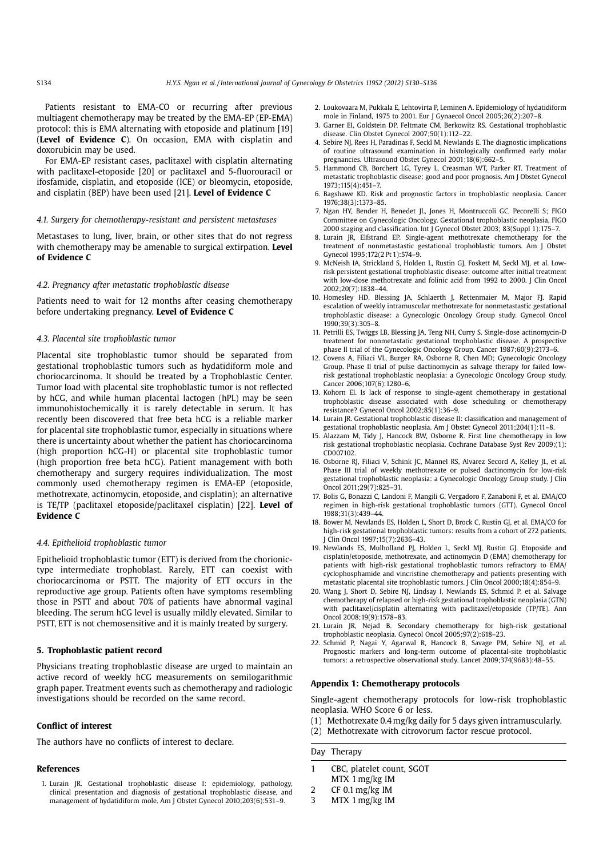Patients resistant to EMA-CO or recurring after previous multiagent chemotherapy may be treated by the EMA-EP (EP-EMA) protocol: this is EMA alternating with etoposide and platinum [19] (**Level of Evidence C**). On occasion, EMA with cisplatin and doxorubicin may be used.

For EMA-EP resistant cases, paclitaxel with cisplatin alternating with paclitaxel-etoposide [20] or paclitaxel and 5-fluorouracil or ifosfamide, cisplatin, and etoposide (ICE) or bleomycin, etoposide, and cisplatin (BEP) have been used [21]. **Level of Evidence C**

#### *4.1. Surgery for chemotherapy-resistant and persistent metastases*

Metastases to lung, liver, brain, or other sites that do not regress with chemotherapy may be amenable to surgical extirpation. **Level of Evidence C**

#### *4.2. Pregnancy after metastatic trophoblastic disease*

Patients need to wait for 12 months after ceasing chemotherapy before undertaking pregnancy. **Level of Evidence C**

#### *4.3. Placental site trophoblastic tumor*

Placental site trophoblastic tumor should be separated from gestational trophoblastic tumors such as hydatidiform mole and choriocarcinoma. It should be treated by a Trophoblastic Center. Tumor load with placental site trophoblastic tumor is not reflected by hCG, and while human placental lactogen (hPL) may be seen immunohistochemically it is rarely detectable in serum. It has recently been discovered that free beta hCG is a reliable marker for placental site trophoblastic tumor, especially in situations where there is uncertainty about whether the patient has choriocarcinoma (high proportion hCG-H) or placental site trophoblastic tumor (high proportion free beta hCG). Patient management with both chemotherapy and surgery requires individualization. The most commonly used chemotherapy regimen is EMA-EP (etoposide, methotrexate, actinomycin, etoposide, and cisplatin); an alternative is TE/TP (paclitaxel etoposide/paclitaxel cisplatin) [22]. **Level of Evidence C**

#### *4.4. Epithelioid trophoblastic tumor*

Epithelioid trophoblastic tumor (ETT) is derived from the chorionictype intermediate trophoblast. Rarely, ETT can coexist with choriocarcinoma or PSTT. The majority of ETT occurs in the reproductive age group. Patients often have symptoms resembling those in PSTT and about 70% of patients have abnormal vaginal bleeding. The serum hCG level is usually mildly elevated. Similar to PSTT, ETT is not chemosensitive and it is mainly treated by surgery.

# **5. Trophoblastic patient record**

Physicians treating trophoblastic disease are urged to maintain an active record of weekly hCG measurements on semilogarithmic graph paper. Treatment events such as chemotherapy and radiologic investigations should be recorded on the same record.

#### **Conflict of interest**

The authors have no conflicts of interest to declare.

#### **References**

1. Lurain JR. Gestational trophoblastic disease I: epidemiology, pathology, clinical presentation and diagnosis of gestational trophoblastic disease, and management of hydatidiform mole. Am J Obstet Gynecol 2010;203(6):531–9.

- 2. Loukovaara M, Pukkala E, Lehtovirta P, Leminen A. Epidemiology of hydatidiform mole in Finland, 1975 to 2001. Eur J Gynaecol Oncol 2005;26(2):207–8.
- 3. Garner EI, Goldstein DP, Feltmate CM, Berkowitz RS. Gestational trophoblastic disease. Clin Obstet Gynecol 2007;50(1):112–22.
- 4. Sebire NJ, Rees H, Paradinas F, Seckl M, Newlands E. The diagnostic implications of routine ultrasound examination in histologically confirmed early molar pregnancies. Ultrasound Obstet Gynecol 2001;18(6):662–5.
- 5. Hammond CB, Borchert LG, Tyrey L, Creasman WT, Parker RT. Treatment of metastatic trophoblastic disease: good and poor prognosis. Am J Obstet Gynecol 1973;115(4):451–7.
- 6. Bagshawe KD. Risk and prognostic factors in trophoblastic neoplasia. Cancer 1976;38(3):1373–85.
- 7. Ngan HY, Bender H, Benedet JL, Jones H, Montruccoli GC, Pecorelli S; FIGO Committee on Gynecologic Oncology. Gestational trophoblastic neoplasia, FIGO 2000 staging and classification. Int J Gynecol Obstet 2003; 83(Suppl 1):175–7.
- 8. Lurain JR, Elfstrand EP. Single-agent methotrexate chemotherapy for the treatment of nonmetastastic gestational trophoblastic tumors. Am J Obstet Gynecol 1995;172(2 Pt 1):574–9.
- 9. McNeish IA, Strickland S, Holden L, Rustin GJ, Foskett M, Seckl MJ, et al. Lowrisk persistent gestational trophoblastic disease: outcome after initial treatment with low-dose methotrexate and folinic acid from 1992 to 2000. J Clin Oncol 2002;20(7):1838–44.
- 10. Homesley HD, Blessing JA, Schlaerth J, Rettenmaier M, Major FJ. Rapid escalation of weekly intramuscular methotrexate for nonmetastastic gestational trophoblastic disease: a Gynecologic Oncology Group study. Gynecol Oncol 1990;39(3):305–8.
- 11. Petrilli ES, Twiggs LB, Blessing JA, Teng NH, Curry S. Single-dose actinomycin-D treatment for nonmetastatic gestational trophoblastic disease. A prospective phase II trial of the Gynecologic Oncology Group. Cancer 1987;60(9):2173–6.
- 12. Covens A, Filiaci VL, Burger RA, Osborne R, Chen MD; Gynecologic Oncology Group. Phase II trial of pulse dactinomycin as salvage therapy for failed lowrisk gestational trophoblastic neoplasia: a Gynecologic Oncology Group study. Cancer 2006;107(6):1280–6.
- 13. Kohorn EI. Is lack of response to single-agent chemotherapy in gestational trophoblastic disease associated with dose scheduling or chemotherapy resistance? Gynecol Oncol 2002;85(1):36–9.
- 14. Lurain JR. Gestational trophoblastic disease II: classification and management of gestational trophoblastic neoplasia. Am J Obstet Gynecol 2011;204(1):11–8.
- 15. Alazzam M, Tidy J, Hancock BW, Osborne R. First line chemotherapy in low risk gestational trophoblastic neoplasia. Cochrane Database Syst Rev 2009;(1): CD007102.
- 16. Osborne RJ, Filiaci V, Schink JC, Mannel RS, Alvarez Secord A, Kelley JL, et al. Phase III trial of weekly methotrexate or pulsed dactinomycin for low-risk gestational trophoblastic neoplasia: a Gynecologic Oncology Group study. J Clin Oncol 2011;29(7):825–31.
- 17. Bolis G, Bonazzi C, Landoni F, Mangili G, Vergadoro F, Zanaboni F, et al. EMA/CO regimen in high-risk gestational trophoblastic tumors (GTT). Gynecol Oncol 1988;31(3):439–44.
- 18. Bower M, Newlands ES, Holden L, Short D, Brock C, Rustin GJ, et al. EMA/CO for high-risk gestational trophoblastic tumors: results from a cohort of 272 patients. J Clin Oncol 1997;15(7):2636–43.
- 19. Newlands ES, Mulholland PJ, Holden L, Seckl MJ, Rustin GJ. Etoposide and cisplatin/etoposide, methotrexate, and actinomycin D (EMA) chemotherapy for patients with high-risk gestational trophoblastic tumors refractory to EMA/ cyclophosphamide and vincristine chemotherapy and patients presenting with metastatic placental site trophoblastic tumors. J Clin Oncol 2000;18(4):854–9.
- 20. Wang J, Short D, Sebire NJ, Lindsay I, Newlands ES, Schmid P, et al. Salvage chemotherapy of relapsed or high-risk gestational trophoblastic neoplasia (GTN) with paclitaxel/cisplatin alternating with paclitaxel/etoposide (TP/TE). Ann Oncol 2008;19(9):1578–83.
- 21. Lurain JR, Nejad B. Secondary chemotherapy for high-risk gestational trophoblastic neoplasia. Gynecol Oncol 2005;97(2):618–23.
- 22. Schmid P, Nagai Y, Agarwal R, Hancock B, Savage PM, Sebire NJ, et al. Prognostic markers and long-term outcome of placental-site trophoblastic tumors: a retrospective observational study. Lancet 2009;374(9683):48–55.

## **Appendix 1: Chemotherapy protocols**

Single-agent chemotherapy protocols for low-risk trophoblastic neoplasia. WHO Score 6 or less.

- (1) Methotrexate 0.4 mg/kg daily for 5 days given intramuscularly.
- (2) Methotrexate with citrovorum factor rescue protocol.

Day Therapy

1 CBC, platelet count, SGOT

- 2 CF 0.1 mg/kg IM
- 3 MTX 1 mg/kg IM

MTX 1 mg/kg IM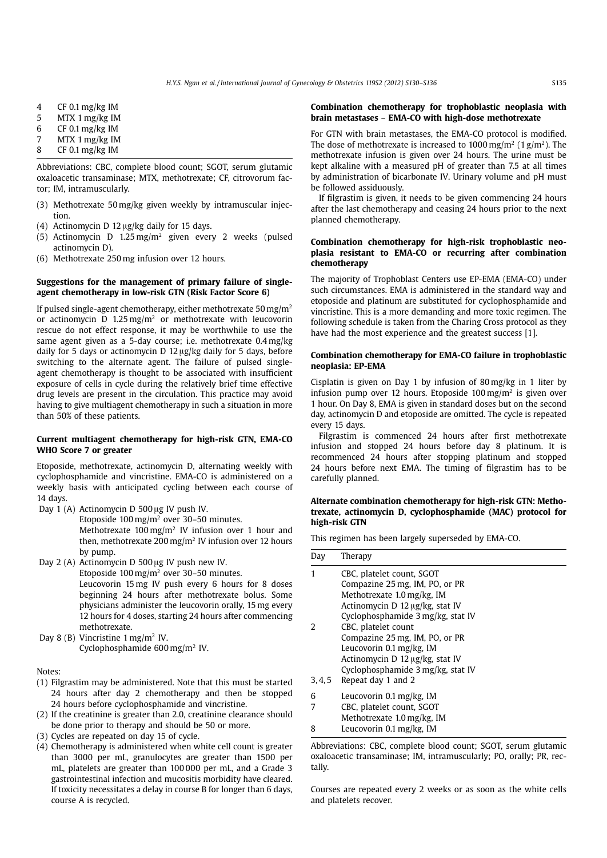- 4 CF 0.1 mg/kg IM
- 5 MTX 1 mg/kg IM
- 6 CF 0.1 mg/kg IM
- 7 MTX 1 mg/kg IM
- 8 CF 0.1 mg/kg IM

Abbreviations: CBC, complete blood count; SGOT, serum glutamic oxaloacetic transaminase; MTX, methotrexate; CF, citrovorum factor; IM, intramuscularly.

- (3) Methotrexate 50 mg/kg given weekly by intramuscular injection.
- (4) Actinomycin D  $12 \mu g/kg$  daily for 15 days.
- (5) Actinomycin D 1.25 mg/m2 given every 2 weeks (pulsed actinomycin D).
- (6) Methotrexate 250 mg infusion over 12 hours.

# **Suggestions for the management of primary failure of singleagent chemotherapy in low-risk GTN (Risk Factor Score 6)**

If pulsed single-agent chemotherapy, either methotrexate 50 mg/m2 or actinomycin D  $1.25 \text{ mg/m}^2$  or methotrexate with leucovorin rescue do not effect response, it may be worthwhile to use the same agent given as a 5-day course; i.e. methotrexate 0.4 mg/kg daily for 5 days or actinomycin  $D$  12  $\mu$ g/kg daily for 5 days, before switching to the alternate agent. The failure of pulsed singleagent chemotherapy is thought to be associated with insufficient exposure of cells in cycle during the relatively brief time effective drug levels are present in the circulation. This practice may avoid having to give multiagent chemotherapy in such a situation in more than 50% of these patients.

## **Current multiagent chemotherapy for high-risk GTN, EMA-CO WHO Score 7 or greater**

Etoposide, methotrexate, actinomycin D, alternating weekly with cyclophosphamide and vincristine. EMA-CO is administered on a weekly basis with anticipated cycling between each course of 14 days.

Day 1 (A) Actinomycin D  $500 \mu g$  IV push IV.

Etoposide 100 mg/m2 over 30–50 minutes. Methotrexate  $100 \,\text{mg/m}^2$  IV infusion over 1 hour and then, methotrexate 200 mg/m<sup>2</sup> IV infusion over 12 hours by pump.

- Day 2 (A) Actinomycin D  $500 \mu g$  IV push new IV. Etoposide 100 mg/m<sup>2</sup> over 30–50 minutes. Leucovorin 15 mg IV push every 6 hours for 8 doses beginning 24 hours after methotrexate bolus. Some physicians administer the leucovorin orally, 15 mg every 12 hours for 4 doses, starting 24 hours after commencing methotrexate.
- Day 8 (B) Vincristine 1 mg/m2 IV. Cyclophosphamide 600 mg/m2 IV.

Notes:

- (1) Filgrastim may be administered. Note that this must be started 24 hours after day 2 chemotherapy and then be stopped 24 hours before cyclophosphamide and vincristine.
- (2) If the creatinine is greater than 2.0, creatinine clearance should be done prior to therapy and should be 50 or more.
- (3) Cycles are repeated on day 15 of cycle.
- (4) Chemotherapy is administered when white cell count is greater than 3000 per mL, granulocytes are greater than 1500 per mL, platelets are greater than 100 000 per mL, and a Grade 3 gastrointestinal infection and mucositis morbidity have cleared. If toxicity necessitates a delay in course B for longer than 6 days, course A is recycled.

# **Combination chemotherapy for trophoblastic neoplasia with brain metastases** – **EMA-CO with high-dose methotrexate**

For GTN with brain metastases, the EMA-CO protocol is modified. The dose of methotrexate is increased to 1000 mg/m<sup>2</sup> (1 g/m<sup>2</sup>). The methotrexate infusion is given over 24 hours. The urine must be kept alkaline with a measured pH of greater than 7.5 at all times by administration of bicarbonate IV. Urinary volume and pH must be followed assiduously.

If filgrastim is given, it needs to be given commencing 24 hours after the last chemotherapy and ceasing 24 hours prior to the next planned chemotherapy.

# **Combination chemotherapy for high-risk trophoblastic neoplasia resistant to EMA-CO or recurring after combination chemotherapy**

The majority of Trophoblast Centers use EP-EMA (EMA-CO) under such circumstances. EMA is administered in the standard way and etoposide and platinum are substituted for cyclophosphamide and vincristine. This is a more demanding and more toxic regimen. The following schedule is taken from the Charing Cross protocol as they have had the most experience and the greatest success [1].

# **Combination chemotherapy for EMA-CO failure in trophoblastic neoplasia: EP-EMA**

Cisplatin is given on Day 1 by infusion of 80 mg/kg in 1 liter by infusion pump over 12 hours. Etoposide  $100 \,\text{mg/m}^2$  is given over 1 hour. On Day 8, EMA is given in standard doses but on the second day, actinomycin D and etoposide are omitted. The cycle is repeated every 15 days.

Filgrastim is commenced 24 hours after first methotrexate infusion and stopped 24 hours before day 8 platinum. It is recommenced 24 hours after stopping platinum and stopped 24 hours before next EMA. The timing of filgrastim has to be carefully planned.

# **Alternate combination chemotherapy for high-risk GTN: Methotrexate, actinomycin D, cyclophosphamide (MAC) protocol for high-risk GTN**

This regimen has been largely superseded by EMA-CO.

| Dav | Therapy                               |
|-----|---------------------------------------|
|     | CBC, platelet count, SGOT             |
|     | Compazine 25 mg, IM, PO, or PR        |
|     | Methotrexate 1.0 mg/kg, IM            |
|     | Actinomycin D $12 \mu g/kg$ , stat IV |
|     | Cyclophosphamide 3 mg/kg, stat IV     |
| 2   | CBC, platelet count                   |
|     | Compazine 25 mg, IM, PO, or PR        |
|     | Leucovorin 0.1 mg/kg, IM              |
|     | Actinomycin D $12 \mu g/kg$ , stat IV |
|     | Cyclophosphamide 3 mg/kg, stat IV     |
|     | $3, 4, 5$ Repeat day 1 and 2          |
| 6   | Leucovorin 0.1 mg/kg, IM              |
| 7   | CBC, platelet count, SGOT             |
|     | Methotrexate 1.0 mg/kg, IM            |
| 8   | Leucovorin 0.1 mg/kg, IM              |

Abbreviations: CBC, complete blood count; SGOT, serum glutamic oxaloacetic transaminase; IM, intramuscularly; PO, orally; PR, rectally.

Courses are repeated every 2 weeks or as soon as the white cells and platelets recover.